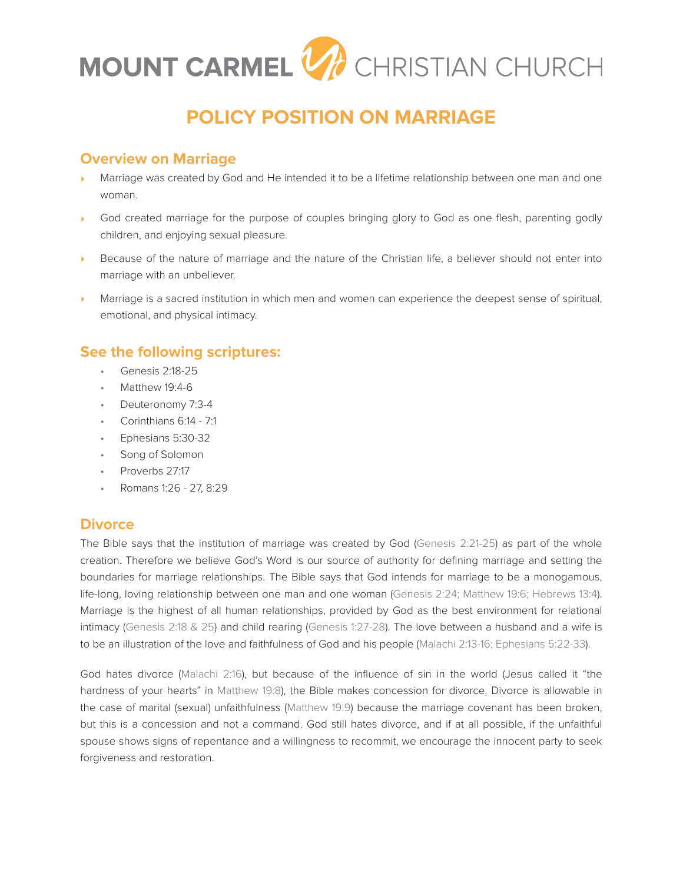

# **POLICY POSITION ON MARRIAGE**

## **Overview on Marriage**

- Marriage was created by God and He intended it to be a lifetime relationship between one man and one woman.
- God created marriage for the purpose of couples bringing glory to God as one flesh, parenting godly children, and enjoying sexual pleasure.
- Because of the nature of marriage and the nature of the Christian life, a believer should not enter into marriage with an unbeliever.
- Marriage is a sacred institution in which men and women can experience the deepest sense of spiritual, emotional, and physical intimacy.

# **See the following scriptures:**

- Genesis 2:18-25
- Matthew 19:4-6
- Deuteronomy 7:3-4
- Corinthians 6:14 7:1
- Ephesians 5:30-32
- Song of Solomon
- Proverbs 27:17
- Romans 1:26 27, 8:29

### **Divorce**

The Bible says that the institution of marriage was created by God (Genesis 2:21-25) as part of the whole creation. Therefore we believe God's Word is our source of authority for defining marriage and setting the boundaries for marriage relationships. The Bible says that God intends for marriage to be a monogamous, life-long, loving relationship between one man and one woman (Genesis 2:24; Matthew 19:6; Hebrews 13:4). Marriage is the highest of all human relationships, provided by God as the best environment for relational intimacy (Genesis 2:18 & 25) and child rearing (Genesis 1:27-28). The love between a husband and a wife is to be an illustration of the love and faithfulness of God and his people (Malachi 2:13-16; Ephesians 5:22-33).

God hates divorce (Malachi 2:16), but because of the influence of sin in the world (Jesus called it "the hardness of your hearts" in Matthew 19:8), the Bible makes concession for divorce. Divorce is allowable in the case of marital (sexual) unfaithfulness (Matthew 19:9) because the marriage covenant has been broken, but this is a concession and not a command. God still hates divorce, and if at all possible, if the unfaithful spouse shows signs of repentance and a willingness to recommit, we encourage the innocent party to seek forgiveness and restoration.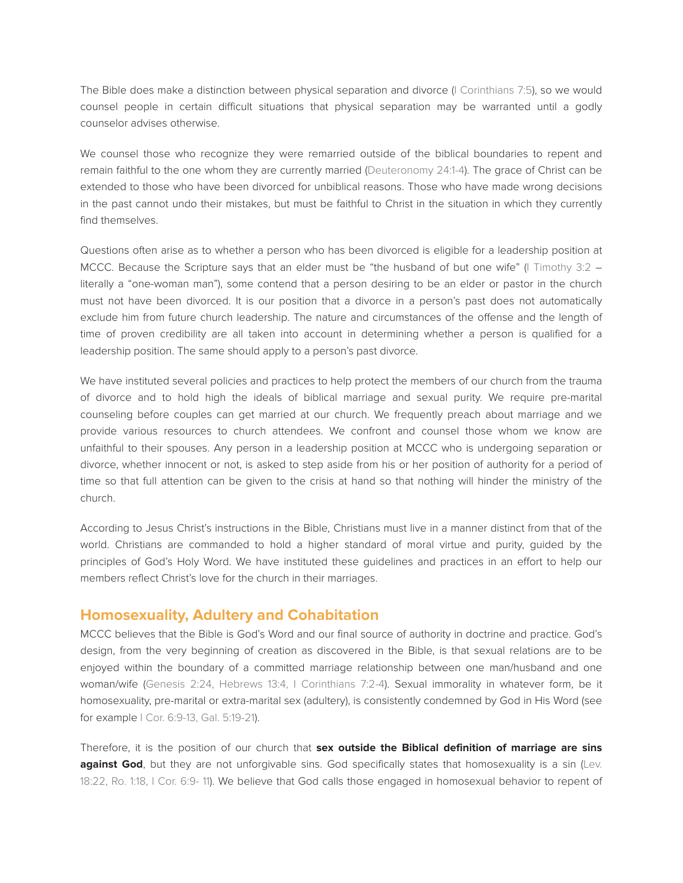The Bible does make a distinction between physical separation and divorce (I Corinthians 7:5), so we would counsel people in certain difficult situations that physical separation may be warranted until a godly counselor advises otherwise.

We counsel those who recognize they were remarried outside of the biblical boundaries to repent and remain faithful to the one whom they are currently married (Deuteronomy 24:1-4). The grace of Christ can be extended to those who have been divorced for unbiblical reasons. Those who have made wrong decisions in the past cannot undo their mistakes, but must be faithful to Christ in the situation in which they currently find themselves.

Questions often arise as to whether a person who has been divorced is eligible for a leadership position at MCCC. Because the Scripture says that an elder must be "the husband of but one wife" (I Timothy 3:2 – literally a "one-woman man"), some contend that a person desiring to be an elder or pastor in the church must not have been divorced. It is our position that a divorce in a person's past does not automatically exclude him from future church leadership. The nature and circumstances of the offense and the length of time of proven credibility are all taken into account in determining whether a person is qualified for a leadership position. The same should apply to a person's past divorce.

We have instituted several policies and practices to help protect the members of our church from the trauma of divorce and to hold high the ideals of biblical marriage and sexual purity. We require pre-marital counseling before couples can get married at our church. We frequently preach about marriage and we provide various resources to church attendees. We confront and counsel those whom we know are unfaithful to their spouses. Any person in a leadership position at MCCC who is undergoing separation or divorce, whether innocent or not, is asked to step aside from his or her position of authority for a period of time so that full attention can be given to the crisis at hand so that nothing will hinder the ministry of the church.

According to Jesus Christ's instructions in the Bible, Christians must live in a manner distinct from that of the world. Christians are commanded to hold a higher standard of moral virtue and purity, guided by the principles of God's Holy Word. We have instituted these guidelines and practices in an effort to help our members reflect Christ's love for the church in their marriages.

#### **Homosexuality, Adultery and Cohabitation**

MCCC believes that the Bible is God's Word and our final source of authority in doctrine and practice. God's design, from the very beginning of creation as discovered in the Bible, is that sexual relations are to be enjoyed within the boundary of a committed marriage relationship between one man/husband and one woman/wife (Genesis 2:24, Hebrews 13:4, I Corinthians 7:2-4). Sexual immorality in whatever form, be it homosexuality, pre-marital or extra-marital sex (adultery), is consistently condemned by God in His Word (see for example I Cor. 6:9-13, Gal. 5:19-21).

Therefore, it is the position of our church that **sex outside the Biblical definition of marriage are sins against God**, but they are not unforgivable sins. God specifically states that homosexuality is a sin (Lev. 18:22, Ro. 1:18, I Cor. 6:9- 11). We believe that God calls those engaged in homosexual behavior to repent of